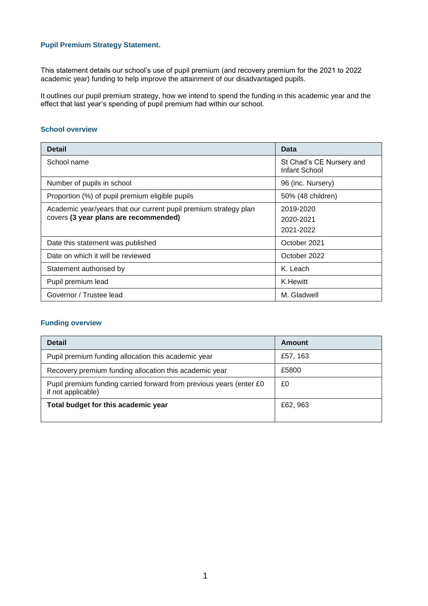## **Pupil Premium Strategy Statement.**

This statement details our school's use of pupil premium (and recovery premium for the 2021 to 2022 academic year) funding to help improve the attainment of our disadvantaged pupils.

It outlines our pupil premium strategy, how we intend to spend the funding in this academic year and the effect that last year's spending of pupil premium had within our school.

#### **School overview**

| <b>Detail</b>                                                                                             | Data                                      |
|-----------------------------------------------------------------------------------------------------------|-------------------------------------------|
| School name                                                                                               | St Chad's CE Nursery and<br>Infant School |
| Number of pupils in school                                                                                | 96 (inc. Nursery)                         |
| Proportion (%) of pupil premium eligible pupils                                                           | 50% (48 children)                         |
| Academic year/years that our current pupil premium strategy plan<br>covers (3 year plans are recommended) | 2019-2020<br>2020-2021<br>2021-2022       |
| Date this statement was published                                                                         | October 2021                              |
| Date on which it will be reviewed                                                                         | October 2022                              |
| Statement authorised by                                                                                   | K. Leach                                  |
| Pupil premium lead                                                                                        | K.Hewitt                                  |
| Governor / Trustee lead                                                                                   | M. Gladwell                               |

### **Funding overview**

| <b>Detail</b>                                                                              | Amount   |
|--------------------------------------------------------------------------------------------|----------|
| Pupil premium funding allocation this academic year                                        | £57, 163 |
| Recovery premium funding allocation this academic year                                     | £5800    |
| Pupil premium funding carried forward from previous years (enter £0)<br>if not applicable) | £0       |
| Total budget for this academic year                                                        | £62, 963 |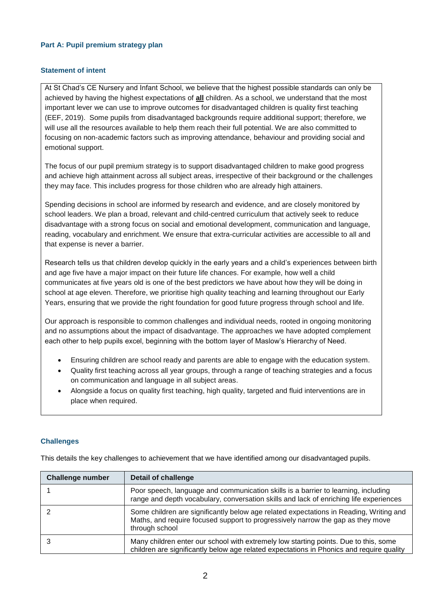## **Part A: Pupil premium strategy plan**

### **Statement of intent**

At St Chad's CE Nursery and Infant School, we believe that the highest possible standards can only be achieved by having the highest expectations of **all** children. As a school, we understand that the most important lever we can use to improve outcomes for disadvantaged children is quality first teaching (EEF, 2019). Some pupils from disadvantaged backgrounds require additional support; therefore, we will use all the resources available to help them reach their full potential. We are also committed to focusing on non-academic factors such as improving attendance, behaviour and providing social and emotional support.

The focus of our pupil premium strategy is to support disadvantaged children to make good progress and achieve high attainment across all subject areas, irrespective of their background or the challenges they may face. This includes progress for those children who are already high attainers.

Spending decisions in school are informed by research and evidence, and are closely monitored by school leaders. We plan a broad, relevant and child-centred curriculum that actively seek to reduce disadvantage with a strong focus on social and emotional development, communication and language, reading, vocabulary and enrichment. We ensure that extra-curricular activities are accessible to all and that expense is never a barrier.

Research tells us that children develop quickly in the early years and a child's experiences between birth and age five have a major impact on their future life chances. For example, how well a child communicates at five years old is one of the best predictors we have about how they will be doing in school at age eleven. Therefore, we prioritise high quality teaching and learning throughout our Early Years, ensuring that we provide the right foundation for good future progress through school and life.

Our approach is responsible to common challenges and individual needs, rooted in ongoing monitoring and no assumptions about the impact of disadvantage. The approaches we have adopted complement each other to help pupils excel, beginning with the bottom layer of Maslow's Hierarchy of Need.

- Ensuring children are school ready and parents are able to engage with the education system.
- Quality first teaching across all year groups, through a range of teaching strategies and a focus on communication and language in all subject areas.
- Alongside a focus on quality first teaching, high quality, targeted and fluid interventions are in place when required.

### **Challenges**

This details the key challenges to achievement that we have identified among our disadvantaged pupils.

| <b>Challenge number</b> | <b>Detail of challenge</b>                                                                                                                                                                  |
|-------------------------|---------------------------------------------------------------------------------------------------------------------------------------------------------------------------------------------|
|                         | Poor speech, language and communication skills is a barrier to learning, including<br>range and depth vocabulary, conversation skills and lack of enriching life experiences                |
|                         | Some children are significantly below age related expectations in Reading, Writing and<br>Maths, and require focused support to progressively narrow the gap as they move<br>through school |
|                         | Many children enter our school with extremely low starting points. Due to this, some<br>children are significantly below age related expectations in Phonics and require quality            |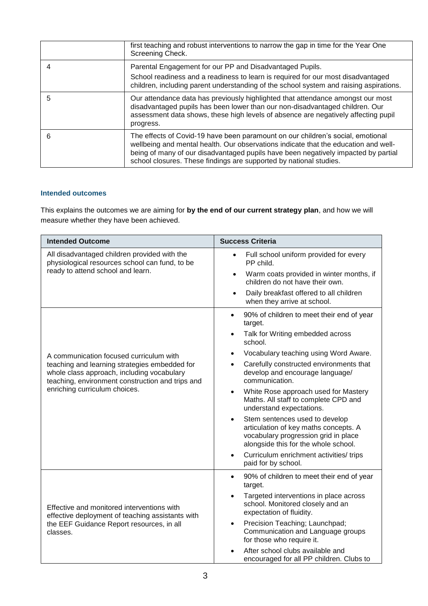|   | first teaching and robust interventions to narrow the gap in time for the Year One<br>Screening Check.                                                                                                                                                                                                                             |
|---|------------------------------------------------------------------------------------------------------------------------------------------------------------------------------------------------------------------------------------------------------------------------------------------------------------------------------------|
|   | Parental Engagement for our PP and Disadvantaged Pupils.<br>School readiness and a readiness to learn is required for our most disadvantaged<br>children, including parent understanding of the school system and raising aspirations.                                                                                             |
| 5 | Our attendance data has previously highlighted that attendance amongst our most<br>disadvantaged pupils has been lower than our non-disadvantaged children. Our<br>assessment data shows, these high levels of absence are negatively affecting pupil<br>progress.                                                                 |
| 6 | The effects of Covid-19 have been paramount on our children's social, emotional<br>wellbeing and mental health. Our observations indicate that the education and well-<br>being of many of our disadvantaged pupils have been negatively impacted by partial<br>school closures. These findings are supported by national studies. |

## **Intended outcomes**

This explains the outcomes we are aiming for **by the end of our current strategy plan**, and how we will measure whether they have been achieved.

| <b>Intended Outcome</b>                                                                                                                                                                                                     | <b>Success Criteria</b>                                                                                                                                                                                                                                                                                                                                                                                                                                                                                                                                                                                                                                                         |
|-----------------------------------------------------------------------------------------------------------------------------------------------------------------------------------------------------------------------------|---------------------------------------------------------------------------------------------------------------------------------------------------------------------------------------------------------------------------------------------------------------------------------------------------------------------------------------------------------------------------------------------------------------------------------------------------------------------------------------------------------------------------------------------------------------------------------------------------------------------------------------------------------------------------------|
| All disadvantaged children provided with the<br>physiological resources school can fund, to be<br>ready to attend school and learn.                                                                                         | Full school uniform provided for every<br>$\bullet$<br>PP child.<br>Warm coats provided in winter months, if<br>$\bullet$<br>children do not have their own.<br>Daily breakfast offered to all children<br>$\bullet$<br>when they arrive at school.                                                                                                                                                                                                                                                                                                                                                                                                                             |
| A communication focused curriculum with<br>teaching and learning strategies embedded for<br>whole class approach, including vocabulary<br>teaching, environment construction and trips and<br>enriching curriculum choices. | 90% of children to meet their end of year<br>$\bullet$<br>target.<br>Talk for Writing embedded across<br>$\bullet$<br>school.<br>Vocabulary teaching using Word Aware.<br>$\bullet$<br>Carefully constructed environments that<br>$\bullet$<br>develop and encourage language/<br>communication.<br>White Rose approach used for Mastery<br>$\bullet$<br>Maths. All staff to complete CPD and<br>understand expectations.<br>Stem sentences used to develop<br>$\bullet$<br>articulation of key maths concepts. A<br>vocabulary progression grid in place<br>alongside this for the whole school.<br>Curriculum enrichment activities/trips<br>$\bullet$<br>paid for by school. |
| Effective and monitored interventions with<br>effective deployment of teaching assistants with<br>the EEF Guidance Report resources, in all<br>classes.                                                                     | 90% of children to meet their end of year<br>$\bullet$<br>target.<br>Targeted interventions in place across<br>$\bullet$<br>school. Monitored closely and an<br>expectation of fluidity.<br>Precision Teaching; Launchpad;<br>$\bullet$<br>Communication and Language groups<br>for those who require it.<br>After school clubs available and<br>encouraged for all PP children. Clubs to                                                                                                                                                                                                                                                                                       |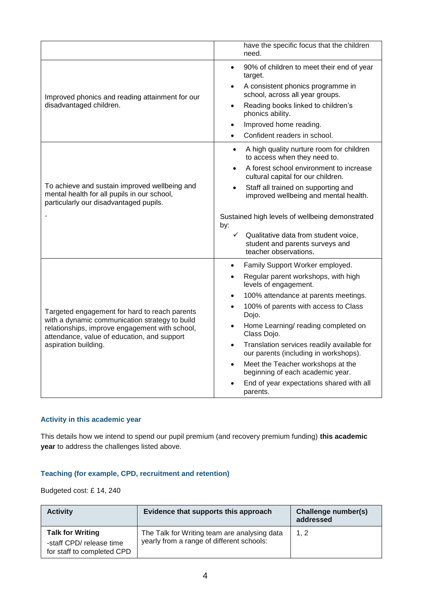|                                                                                                                                                                                                                          | have the specific focus that the children<br>need.                                                                                                                                                                                                                                                                                                                                                                                                                                  |
|--------------------------------------------------------------------------------------------------------------------------------------------------------------------------------------------------------------------------|-------------------------------------------------------------------------------------------------------------------------------------------------------------------------------------------------------------------------------------------------------------------------------------------------------------------------------------------------------------------------------------------------------------------------------------------------------------------------------------|
| Improved phonics and reading attainment for our<br>disadvantaged children.                                                                                                                                               | 90% of children to meet their end of year<br>target.<br>A consistent phonics programme in<br>school, across all year groups.<br>Reading books linked to children's<br>phonics ability.<br>Improved home reading.<br>Confident readers in school.                                                                                                                                                                                                                                    |
| To achieve and sustain improved wellbeing and<br>mental health for all pupils in our school,<br>particularly our disadvantaged pupils.                                                                                   | A high quality nurture room for children<br>to access when they need to.<br>A forest school environment to increase<br>cultural capital for our children.<br>Staff all trained on supporting and<br>improved wellbeing and mental health.<br>Sustained high levels of wellbeing demonstrated<br>by:<br>$\checkmark$<br>Qualitative data from student voice,<br>student and parents surveys and<br>teacher observations.                                                             |
| Targeted engagement for hard to reach parents<br>with a dynamic communication strategy to build<br>relationships, improve engagement with school,<br>attendance, value of education, and support<br>aspiration building. | Family Support Worker employed.<br>Regular parent workshops, with high<br>levels of engagement.<br>100% attendance at parents meetings.<br>100% of parents with access to Class<br>Dojo.<br>Home Learning/ reading completed on<br>Class Dojo.<br>Translation services readily available for<br>$\bullet$<br>our parents (including in workshops).<br>Meet the Teacher workshops at the<br>beginning of each academic year.<br>End of year expectations shared with all<br>parents. |

## **Activity in this academic year**

This details how we intend to spend our pupil premium (and recovery premium funding) **this academic year** to address the challenges listed above.

## **Teaching (for example, CPD, recruitment and retention)**

Budgeted cost: £ 14, 240

| <b>Activity</b>                                                                   | Evidence that supports this approach                                                      | Challenge number(s)<br>addressed |
|-----------------------------------------------------------------------------------|-------------------------------------------------------------------------------------------|----------------------------------|
| <b>Talk for Writing</b><br>-staff CPD/ release time<br>for staff to completed CPD | The Talk for Writing team are analysing data<br>yearly from a range of different schools: | 1, 2                             |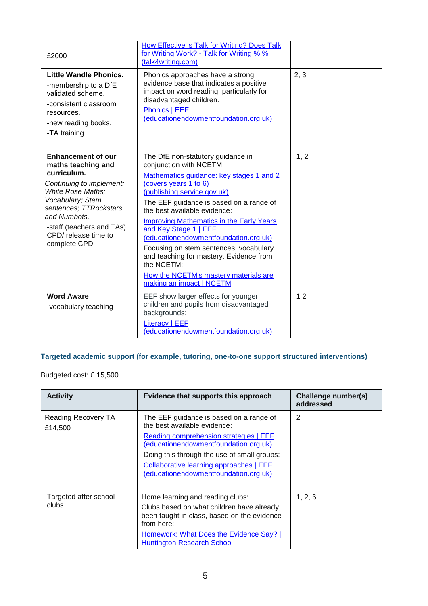| £2000                                                                                                                                                                                                                                              | How Effective is Talk for Writing? Does Talk<br>for Writing Work? - Talk for Writing % %<br>(talk4writing.com)                                                                                                                                                                                                                                                                                                                                                                                                                           |      |
|----------------------------------------------------------------------------------------------------------------------------------------------------------------------------------------------------------------------------------------------------|------------------------------------------------------------------------------------------------------------------------------------------------------------------------------------------------------------------------------------------------------------------------------------------------------------------------------------------------------------------------------------------------------------------------------------------------------------------------------------------------------------------------------------------|------|
| Little Wandle Phonics.<br>-membership to a DfE<br>validated scheme.<br>-consistent classroom<br>resources.<br>-new reading books.<br>-TA training.                                                                                                 | Phonics approaches have a strong<br>evidence base that indicates a positive<br>impact on word reading, particularly for<br>disadvantaged children.<br>Phonics   EEF<br>(educationendowmentfoundation.org.uk)                                                                                                                                                                                                                                                                                                                             | 2, 3 |
| <b>Enhancement of our</b><br>maths teaching and<br>curriculum.<br>Continuing to implement:<br>White Rose Maths;<br>Vocabulary; Stem<br>sentences; TTRockstars<br>and Numbots.<br>-staff (teachers and TAs)<br>CPD/ release time to<br>complete CPD | The DfE non-statutory guidance in<br>conjunction with NCETM:<br>Mathematics guidance: key stages 1 and 2<br>(covers years 1 to 6)<br>(publishing.service.gov.uk)<br>The EEF guidance is based on a range of<br>the best available evidence:<br><b>Improving Mathematics in the Early Years</b><br>and Key Stage 1   EEF<br>(educationendowmentfoundation.org.uk)<br>Focusing on stem sentences, vocabulary<br>and teaching for mastery. Evidence from<br>the NCETM:<br>How the NCETM's mastery materials are<br>making an impact   NCETM | 1, 2 |
| <b>Word Aware</b><br>-vocabulary teaching                                                                                                                                                                                                          | EEF show larger effects for younger<br>children and pupils from disadvantaged<br>backgrounds:<br>Literacy   EEF<br>(educationendowmentfoundation.org.uk)                                                                                                                                                                                                                                                                                                                                                                                 | 12   |

# **Targeted academic support (for example, tutoring, one-to-one support structured interventions)**

# Budgeted cost: £ 15,500

| <b>Activity</b>                | Evidence that supports this approach                                                                                                                                                                                                                                                          | Challenge number(s)<br>addressed |
|--------------------------------|-----------------------------------------------------------------------------------------------------------------------------------------------------------------------------------------------------------------------------------------------------------------------------------------------|----------------------------------|
| Reading Recovery TA<br>£14,500 | The EEF guidance is based on a range of<br>the best available evidence:<br>Reading comprehension strategies   EEF<br>(educationendowmentfoundation.org.uk)<br>Doing this through the use of small groups:<br>Collaborative learning approaches   EEF<br>(educationendowmentfoundation.org.uk) | 2                                |
| Targeted after school<br>clubs | Home learning and reading clubs:<br>Clubs based on what children have already<br>been taught in class, based on the evidence<br>from here:<br><b>Homework: What Does the Evidence Say?</b><br><b>Huntington Research School</b>                                                               | 1, 2, 6                          |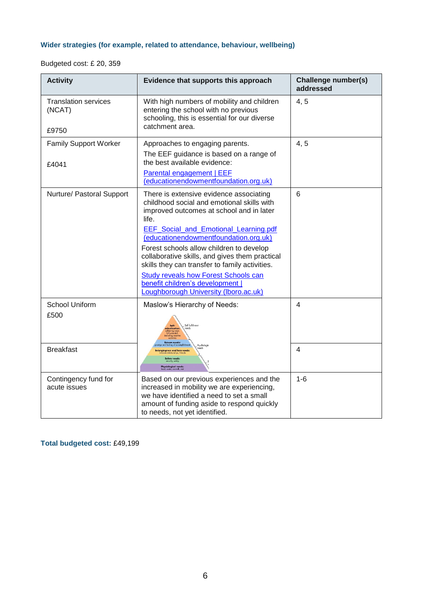# **Wider strategies (for example, related to attendance, behaviour, wellbeing)**

Budgeted cost: £ 20, 359

| <b>Activity</b>                                   | Evidence that supports this approach                                                                                                                                                                                                                                                                                                                                                                                                                                                                            | Challenge number(s)<br>addressed |
|---------------------------------------------------|-----------------------------------------------------------------------------------------------------------------------------------------------------------------------------------------------------------------------------------------------------------------------------------------------------------------------------------------------------------------------------------------------------------------------------------------------------------------------------------------------------------------|----------------------------------|
| <b>Translation services</b><br>(NCAT)<br>£9750    | With high numbers of mobility and children<br>entering the school with no previous<br>schooling, this is essential for our diverse<br>catchment area.                                                                                                                                                                                                                                                                                                                                                           | 4, 5                             |
| <b>Family Support Worker</b><br>£4041             | Approaches to engaging parents.<br>The EEF guidance is based on a range of<br>the best available evidence:<br>Parental engagement   EEF<br>(educationendowmentfoundation.org.uk)                                                                                                                                                                                                                                                                                                                                | 4, 5                             |
| Nurture/ Pastoral Support                         | There is extensive evidence associating<br>childhood social and emotional skills with<br>improved outcomes at school and in later<br>life.<br><b>EEF</b> Social and Emotional Learning.pdf<br>(educationendowmentfoundation.org.uk)<br>Forest schools allow children to develop<br>collaborative skills, and gives them practical<br>skills they can transfer to family activities.<br><b>Study reveals how Forest Schools can</b><br>benefit children's development  <br>Loughborough University (Iboro.ac.uk) | 6                                |
| <b>School Uniform</b><br>£500<br><b>Breakfast</b> | Maslow's Hierarchy of Needs:<br>Self-fulfillmen                                                                                                                                                                                                                                                                                                                                                                                                                                                                 | 4<br>4                           |
|                                                   |                                                                                                                                                                                                                                                                                                                                                                                                                                                                                                                 |                                  |
| Contingency fund for<br>acute issues              | Based on our previous experiences and the<br>increased in mobility we are experiencing,<br>we have identified a need to set a small<br>amount of funding aside to respond quickly<br>to needs, not yet identified.                                                                                                                                                                                                                                                                                              | $1 - 6$                          |

**Total budgeted cost:** £49,199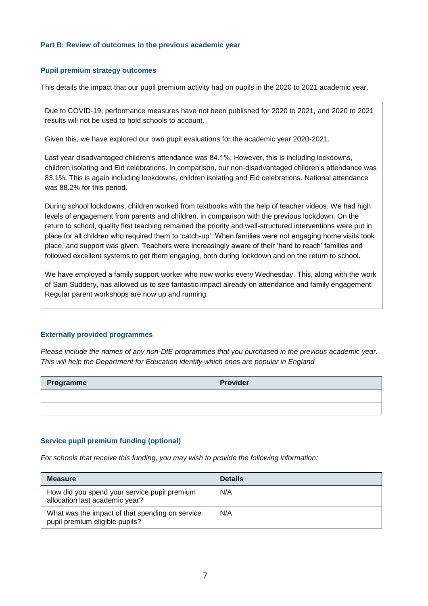#### **Part B: Review of outcomes in the previous academic year**

#### **Pupil premium strategy outcomes**

This details the impact that our pupil premium activity had on pupils in the 2020 to 2021 academic year.

Due to COVID-19, performance measures have not been published for 2020 to 2021, and 2020 to 2021 results will not be used to hold schools to account.

Given this, we have explored our own pupil evaluations for the academic year 2020-2021.

Last year disadvantaged children's attendance was 84.1%. However, this is including lockdowns, children isolating and Eid celebrations. In comparison, our non-disadvantaged children's attendance was 83.1%. This is again including lookdowns, children isolating and Eid celebrations. National attendance was 88.2% for this period.

During school lockdowns, children worked from textbooks with the help of teacher videos. We had high levels of engagement from parents and children, in comparison with the previous lockdown. On the return to school, quality first teaching remained the priority and well-structured interventions were put in place for all children who required them to 'catch-up'. When families were not engaging home visits took place, and support was given. Teachers were increasingly aware of their 'hard to reach' families and followed excellent systems to get them engaging, both during lockdown and on the return to school.

We have employed a family support worker who now works every Wednesday. This, along with the work of Sam Suddery, has allowed us to see fantastic impact already on attendance and family engagement. Regular parent workshops are now up and running.

### **Externally provided programmes**

*Please include the names of any non-DfE programmes that you purchased in the previous academic year. This will help the Department for Education identify which ones are popular in England*

| Programme | Provider |
|-----------|----------|
|           |          |
|           |          |

### **Service pupil premium funding (optional)**

*For schools that receive this funding, you may wish to provide the following information:* 

| <b>Measure</b>                                                                    | <b>Details</b> |
|-----------------------------------------------------------------------------------|----------------|
| How did you spend your service pupil premium<br>allocation last academic year?    | N/A            |
| What was the impact of that spending on service<br>pupil premium eligible pupils? | N/A            |